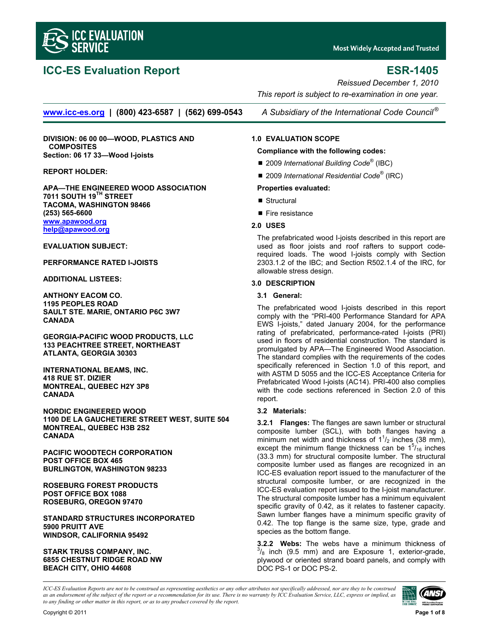

# **ICC-ES Evaluation Report ESR-1405**

*Reissued December 1, 2010 This report is subject to re-examination in one year.* 

**www.icc-es.org | (800) 423-6587 | (562) 699-0543** *A Subsidiary of the International Code Council ®*

**DIVISION: 06 00 00—WOOD, PLASTICS AND COMPOSITES Section: 06 17 33—Wood I-joists** 

**REPORT HOLDER:** 

**APA—THE ENGINEERED WOOD ASSOCIATION 7011 SOUTH 19TH STREET TACOMA, WASHINGTON 98466 (253) 565-6600 www.apawood.org help@apawood.org**

**EVALUATION SUBJECT:** 

**PERFORMANCE RATED I-JOISTS** 

**ADDITIONAL LISTEES:** 

**ANTHONY EACOM CO. 1195 PEOPLES ROAD SAULT STE. MARIE, ONTARIO P6C 3W7 CANADA** 

**GEORGIA-PACIFIC WOOD PRODUCTS, LLC 133 PEACHTREE STREET, NORTHEAST ATLANTA, GEORGIA 30303** 

**INTERNATIONAL BEAMS, INC. 418 RUE ST. DIZIER MONTREAL, QUEBEC H2Y 3P8 CANADA** 

**NORDIC ENGINEERED WOOD 1100 DE LA GAUCHETIERE STREET WEST, SUITE 504 MONTREAL, QUEBEC H3B 2S2 CANADA** 

**PACIFIC WOODTECH CORPORATION POST OFFICE BOX 465 BURLINGTON, WASHINGTON 98233** 

**ROSEBURG FOREST PRODUCTS POST OFFICE BOX 1088 ROSEBURG, OREGON 97470** 

**STANDARD STRUCTURES INCORPORATED 5900 PRUITT AVE WINDSOR, CALIFORNIA 95492** 

# **STARK TRUSS COMPANY, INC. 6855 CHESTNUT RIDGE ROAD NW BEACH CITY, OHIO 44608**

# **1.0 EVALUATION SCOPE**

# **Compliance with the following codes:**

- 2009 *International Building Code<sup>®</sup>* (IBC)
- 2009 *International Residential Code*<sup>®</sup> (IRC)

# **Properties evaluated:**

- Structural
- $\blacksquare$  Fire resistance

# **2.0 USES**

The prefabricated wood I-joists described in this report are used as floor joists and roof rafters to support coderequired loads. The wood I-joists comply with Section 2303.1.2 of the IBC; and Section R502.1.4 of the IRC, for allowable stress design.

# **3.0 DESCRIPTION**

# **3.1 General:**

The prefabricated wood I-joists described in this report comply with the "PRI-400 Performance Standard for APA EWS I-joists," dated January 2004, for the performance rating of prefabricated, performance-rated I-joists (PRI) used in floors of residential construction. The standard is promulgated by APA—The Engineered Wood Association. The standard complies with the requirements of the codes specifically referenced in Section 1.0 of this report, and with ASTM D 5055 and the ICC-ES Acceptance Criteria for Prefabricated Wood I-joists (AC14). PRI-400 also complies with the code sections referenced in Section 2.0 of this report.

# **3.2 Materials:**

**3.2.1 Flanges:** The flanges are sawn lumber or structural composite lumber (SCL), with both flanges having a minimum net width and thickness of  $1\frac{1}{2}$  inches (38 mm), except the minimum flange thickness can be  $1^{5}/_{16}$  inches (33.3 mm) for structural composite lumber. The structural composite lumber used as flanges are recognized in an ICC-ES evaluation report issued to the manufacturer of the structural composite lumber, or are recognized in the ICC-ES evaluation report issued to the I-joist manufacturer. The structural composite lumber has a minimum equivalent specific gravity of 0.42, as it relates to fastener capacity. Sawn lumber flanges have a minimum specific gravity of 0.42. The top flange is the same size, type, grade and species as the bottom flange.

**3.2.2 Webs:** The webs have a minimum thickness of  $\frac{3}{8}$  inch (9.5 mm) and are Exposure 1, exterior-grade, plywood or oriented strand board panels, and comply with DOC PS-1 or DOC PS-2.

*ICC-ES Evaluation Reports are not to be construed as representing aesthetics or any other attributes not specifically addressed, nor are they to be construed as an endorsement of the subject of the report or a recommendation for its use. There is no warranty by ICC Evaluation Service, LLC, express or implied, as to any finding or other matter in this report, or as to any product covered by the report.*

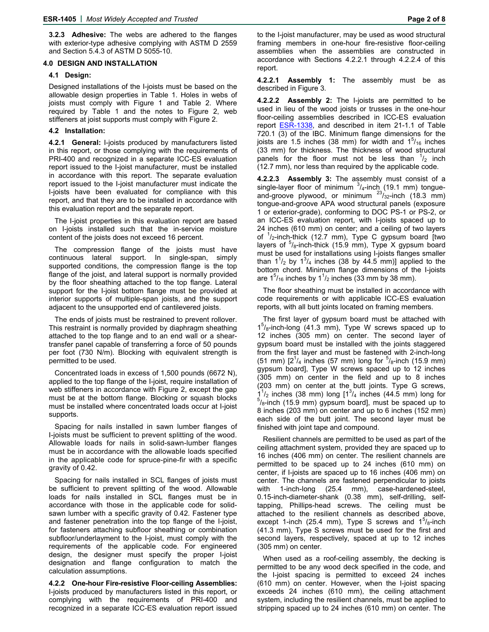**3.2.3 Adhesive:** The webs are adhered to the flanges with exterior-type adhesive complying with ASTM D 2559 and Section 5.4.3 of ASTM D 5055-10.

#### **4.0 DESIGN AND INSTALLATION**

#### **4.1 Design:**

Designed installations of the I-joists must be based on the allowable design properties in Table 1. Holes in webs of joists must comply with Figure 1 and Table 2. Where required by Table 1 and the notes to Figure 2, web stiffeners at joist supports must comply with Figure 2.

#### **4.2 Installation:**

**4.2.1 General:** I-joists produced by manufacturers listed in this report, or those complying with the requirements of PRI-400 and recognized in a separate ICC-ES evaluation report issued to the I-joist manufacturer, must be installed in accordance with this report. The separate evaluation report issued to the I-joist manufacturer must indicate the I-joists have been evaluated for compliance with this report, and that they are to be installed in accordance with this evaluation report and the separate report.

The I-joist properties in this evaluation report are based on I-joists installed such that the in-service moisture content of the joists does not exceed 16 percent.

The compression flange of the joists must have continuous lateral support. In single-span, simply supported conditions, the compression flange is the top flange of the joist, and lateral support is normally provided by the floor sheathing attached to the top flange. Lateral support for the I-joist bottom flange must be provided at interior supports of multiple-span joists, and the support adjacent to the unsupported end of cantilevered joists.

The ends of joists must be restrained to prevent rollover. This restraint is normally provided by diaphragm sheathing attached to the top flange and to an end wall or a sheartransfer panel capable of transferring a force of 50 pounds per foot (730 N/m). Blocking with equivalent strength is permitted to be used.

Concentrated loads in excess of 1,500 pounds (6672 N), applied to the top flange of the I-joist, require installation of web stiffeners in accordance with Figure 2, except the gap must be at the bottom flange. Blocking or squash blocks must be installed where concentrated loads occur at I-joist supports.

Spacing for nails installed in sawn lumber flanges of I-joists must be sufficient to prevent splitting of the wood. Allowable loads for nails in solid-sawn-lumber flanges must be in accordance with the allowable loads specified in the applicable code for spruce-pine-fir with a specific gravity of 0.42.

Spacing for nails installed in SCL flanges of joists must be sufficient to prevent splitting of the wood. Allowable loads for nails installed in SCL flanges must be in accordance with those in the applicable code for solidsawn lumber with a specific gravity of 0.42. Fastener type and fastener penetration into the top flange of the I-joist, for fasteners attaching subfloor sheathing or combination subfloor/underlayment to the I-joist, must comply with the requirements of the applicable code. For engineered design, the designer must specify the proper I-joist designation and flange configuration to match the calculation assumptions.

**4.2.2 One-hour Fire-resistive Floor-ceiling Assemblies:** I-joists produced by manufacturers listed in this report, or complying with the requirements of PRI-400 and recognized in a separate ICC-ES evaluation report issued to the I-joist manufacturer, may be used as wood structural framing members in one-hour fire-resistive floor-ceiling assemblies when the assemblies are constructed in accordance with Sections 4.2.2.1 through 4.2.2.4 of this report.

**4.2.2.1 Assembly 1:** The assembly must be as described in Figure 3.

**4.2.2.2 Assembly 2:** The I-joists are permitted to be used in lieu of the wood joists or trusses in the one-hour floor-ceiling assemblies described in ICC-ES evaluation repor[t ESR-1338,](http://www.icc-es.org/reports/pdf_files/ICC-ES/ESR-1338.pdf) and described in item 21-1.1 of Table 720.1 (3) of the IBC. Minimum flange dimensions for the joists are 1.5 inches (38 mm) for width and  $1^{5}/_{16}$  inches (33 mm) for thickness. The thickness of wood structural panels for the floor must not be less than  $\frac{1}{2}$  inch (12.7 mm), nor less than required by the applicable code.

**4.2.2.3 Assembly 3:** The assembly must consist of a single-layer floor of minimum  $3/4$ -inch (19.1 mm) tongueand-groove plywood, or minimum  $^{23}/_{32}$ -inch (18.3 mm) tongue-and-groove APA wood structural panels (exposure 1 or exterior-grade), conforming to DOC PS-1 or PS-2, or an ICC-ES evaluation report, with I-joists spaced up to 24 inches (610 mm) on center; and a ceiling of two layers of <sup>1</sup>/<sub>2</sub>-inch-thick (12.7 mm), Type C gypsum board [two layers of <sup>5</sup>/<sub>8</sub>-inch-thick (15.9 mm), Type X gypsum board must be used for installations using I-joists flanges smaller than  $1^1$ /<sub>2</sub> by  $1^3$ /<sub>4</sub> inches (38 by 44.5 mm)] applied to the bottom chord. Minimum flange dimensions of the I-joists are  $1<sup>5</sup>/16$  inches by  $1<sup>1</sup>/2$  inches (33 mm by 38 mm).

The floor sheathing must be installed in accordance with code requirements or with applicable ICC-ES evaluation reports, with all butt joints located on framing members.

The first layer of gypsum board must be attached with  $1<sup>5</sup>/8$ -inch-long (41.3 mm), Type W screws spaced up to 12 inches (305 mm) on center. The second layer of gypsum board must be installed with the joints staggered from the first layer and must be fastened with 2-inch-long (51 mm)  $[2^{\frac{1}{4}}]$  inches (57 mm) long for  $5/8$ -inch (15.9 mm) gypsum board], Type W screws spaced up to 12 inches (305 mm) on center in the field and up to 8 inches (203 mm) on center at the butt joints. Type G screws,  $1^{1/2}$  inches (38 mm) long  $[1^{3/4}$  inches (44.5 mm) long for  $5/1$  inch (15.0 mm) growing board, must be appeal up to  $5/8$ -inch (15.9 mm) gypsum board], must be spaced up to 8 inches (203 mm) on center and up to 6 inches (152 mm) each side of the butt joint. The second layer must be finished with joint tape and compound.

Resilient channels are permitted to be used as part of the ceiling attachment system, provided they are spaced up to 16 inches (406 mm) on center. The resilient channels are permitted to be spaced up to 24 inches (610 mm) on center, if I-joists are spaced up to 16 inches (406 mm) on center. The channels are fastened perpendicular to joists with 1-inch-long (25.4 mm), case-hardened-steel, 0.15-inch-diameter-shank (0.38 mm), self-drilling, selftapping, Phillips-head screws. The ceiling must be attached to the resilient channels as described above, except 1-inch (25.4 mm), Type S screws and  $1^5/\text{s}$ -inch (41.3 mm), Type S screws must be used for the first and second layers, respectively, spaced at up to 12 inches (305 mm) on center.

When used as a roof-ceiling assembly, the decking is permitted to be any wood deck specified in the code, and the I-joist spacing is permitted to exceed 24 inches (610 mm) on center. However, when the I-joist spacing exceeds 24 inches (610 mm), the ceiling attachment system, including the resilient channels, must be applied to stripping spaced up to 24 inches (610 mm) on center. The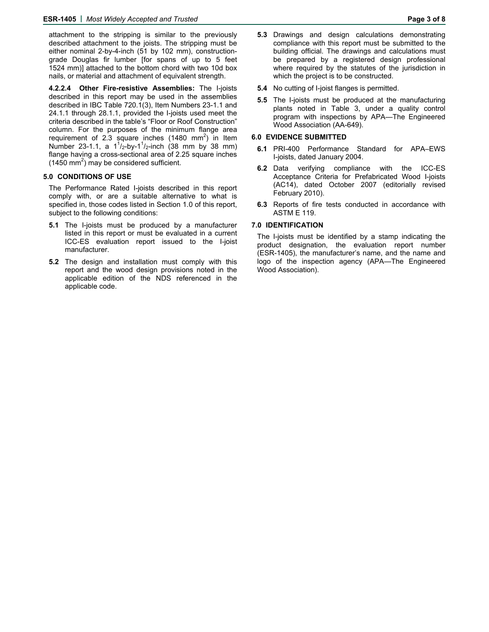attachment to the stripping is similar to the previously described attachment to the joists. The stripping must be either nominal 2-by-4-inch (51 by 102 mm), constructiongrade Douglas fir lumber [for spans of up to 5 feet 1524 mm)] attached to the bottom chord with two 10d box nails, or material and attachment of equivalent strength.

**4.2.2.4 Other Fire-resistive Assemblies:** The I-joists described in this report may be used in the assemblies described in IBC Table 720.1(3), Item Numbers 23-1.1 and 24.1.1 through 28.1.1, provided the I-joists used meet the criteria described in the table's "Floor or Roof Construction" column. For the purposes of the minimum flange area requirement of 2.3 square inches (1480 mm<sup>2</sup>) in Item Number 23-1.1, a  $1^{1}/_{2}$ -by-1<sup>1</sup>/<sub>2</sub>-inch (38 mm by 38 mm) flange having a cross-sectional area of 2.25 square inches  $(1450 \text{ mm}^2)$  may be considered sufficient.

## **5.0 CONDITIONS OF USE**

The Performance Rated I-joists described in this report comply with, or are a suitable alternative to what is specified in, those codes listed in Section 1.0 of this report, subject to the following conditions:

- **5.1** The I-joists must be produced by a manufacturer listed in this report or must be evaluated in a current ICC-ES evaluation report issued to the I-joist manufacturer.
- **5.2** The design and installation must comply with this report and the wood design provisions noted in the applicable edition of the NDS referenced in the applicable code.
- **5.3** Drawings and design calculations demonstrating compliance with this report must be submitted to the building official. The drawings and calculations must be prepared by a registered design professional where required by the statutes of the jurisdiction in which the project is to be constructed.
- **5.4** No cutting of I-joist flanges is permitted.
- **5.5** The I-joists must be produced at the manufacturing plants noted in Table 3, under a quality control program with inspections by APA—The Engineered Wood Association (AA-649).

# **6.0 EVIDENCE SUBMITTED**

- **6.1** PRI-400 Performance Standard for APA–EWS I-joists, dated January 2004.
- **6.2** Data verifying compliance with the ICC-ES Acceptance Criteria for Prefabricated Wood I-joists (AC14), dated October 2007 (editorially revised February 2010).
- **6.3** Reports of fire tests conducted in accordance with ASTM E 119.

# **7.0 IDENTIFICATION**

The I-joists must be identified by a stamp indicating the product designation, the evaluation report number (ESR-1405), the manufacturer's name, and the name and logo of the inspection agency (APA—The Engineered Wood Association).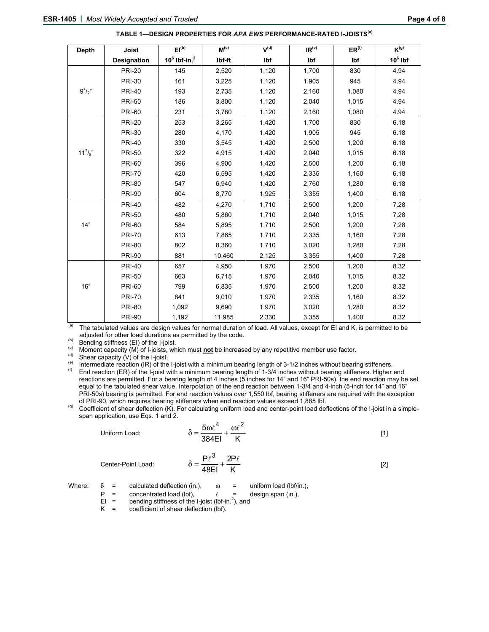| <b>Depth</b> | <b>Joist</b>       | EI <sub>(b)</sub><br>$M^{(c)}$ |        | $V^{(d)}$ | IR <sup>(e)</sup> | $ER^{(f)}$ | $K^{(g)}$ |  |
|--------------|--------------------|--------------------------------|--------|-----------|-------------------|------------|-----------|--|
|              | <b>Designation</b> | $10^6$ lbf-in. <sup>2</sup>    | Ibf-ft | Ibf       | Ibf               | Ibf        | $106$ lbf |  |
|              | <b>PRI-20</b>      | 145                            | 2,520  | 1,120     | 1,700             | 830        | 4.94      |  |
|              | <b>PRI-30</b>      | 161                            | 3,225  | 1,120     | 1,905             | 945        | 4.94      |  |
| $9^{1/2}$    | <b>PRI-40</b>      | 193                            | 2,735  | 1,120     | 2,160             | 1,080      | 4.94      |  |
|              | <b>PRI-50</b>      | 186                            | 3,800  | 1,120     | 2,040             | 1,015      | 4.94      |  |
|              | <b>PRI-60</b>      | 231                            | 3,780  | 1,120     | 2,160             | 1,080      | 4.94      |  |
|              | <b>PRI-20</b>      | 253                            | 3,265  | 1,420     | 1,700             | 830        | 6.18      |  |
|              | <b>PRI-30</b>      | 280                            | 4,170  | 1,420     | 1,905             | 945        | 6.18      |  |
|              | <b>PRI-40</b>      | 330                            | 3,545  | 1,420     | 2,500             | 1,200      | 6.18      |  |
| $11^{7}/s$ " | <b>PRI-50</b>      | 322                            | 4,915  | 1,420     | 2,040             | 1,015      | 6.18      |  |
|              | <b>PRI-60</b>      | 396                            | 4,900  | 1,420     | 2,500             | 1,200      | 6.18      |  |
|              | <b>PRI-70</b>      | 420                            | 6,595  | 1,420     | 2,335             | 1,160      | 6.18      |  |
|              | <b>PRI-80</b>      | 547                            | 6,940  | 1,420     | 2,760             | 1,280      | 6.18      |  |
|              | <b>PRI-90</b>      | 604                            | 8,770  | 1,925     | 3,355             | 1,400      | 6.18      |  |
|              | <b>PRI-40</b>      | 482                            | 4,270  | 1,710     | 2,500             | 1,200      | 7.28      |  |
|              | <b>PRI-50</b>      | 480                            | 5,860  | 1,710     | 2,040             | 1,015      | 7.28      |  |
| 14"          | <b>PRI-60</b>      | 584                            | 5,895  | 1,710     | 2,500             | 1,200      | 7.28      |  |
|              | <b>PRI-70</b>      | 613                            | 7,865  | 1,710     | 2,335             | 1,160      | 7.28      |  |
|              | <b>PRI-80</b>      | 802                            | 8,360  | 1,710     | 3,020             | 1,280      | 7.28      |  |
|              | <b>PRI-90</b>      | 881                            | 10,460 | 2,125     | 3,355             | 1,400      | 7.28      |  |
|              | <b>PRI-40</b>      | 657                            | 4,950  | 1,970     | 2,500             | 1,200      | 8.32      |  |
|              | <b>PRI-50</b>      | 663                            | 6,715  | 1,970     | 2,040             | 1,015      | 8.32      |  |
| 16"          | <b>PRI-60</b>      | 799                            | 6,835  | 1,970     | 2,500             | 1,200      | 8.32      |  |
|              | <b>PRI-70</b>      | 841                            | 9,010  | 1,970     | 2,335             | 1,160      | 8.32      |  |
|              | <b>PRI-80</b>      | 1,092                          | 9,690  | 1,970     | 3,020             | 1,280      | 8.32      |  |
|              | <b>PRI-90</b>      | 1,192                          | 11,985 | 2,330     | 3,355             | 1,400      | 8.32      |  |

**TABLE 1—DESIGN PROPERTIES FOR** *APA EWS* **PERFORMANCE-RATED I-JOISTS(a)** 

(a) The tabulated values are design values for normal duration of load. All values, except for EI and K, is permitted to be adjusted for other load durations as permitted by the code.

(b) Bending stiffness (EI) of the I-joist.<br>
(c) Moment capacity (M) of I-joists, which must **not** be increased by any repetitive member use factor.<br>
(c) Moment capacity (V) of the I-joist.<br>
(e) Shear capacity (V) of the I reactions are permitted. For a bearing length of 4 inches (5 inches for 14" and 16" PRI-50s), the end reaction may be set equal to the tabulated shear value. Interpolation of the end reaction between 1-3/4 and 4-inch (5-inch for 14" and 16"

PRI-50s) bearing is permitted. For end reaction values over 1,550 lbf, bearing stiffeners are required with the exception of PRI-90, which requires bearing stiffeners when end reaction values exceed 1,885 lbf.

(g) Coefficient of shear deflection (K). For calculating uniform load and center-point load deflections of the I-joist in a simplespan application, use Eqs. 1 and 2.

Uniform Load:  $\delta$ 

$$
=\frac{5\omega\ell^4}{384\text{El}}+\frac{\omega\ell^2}{\text{K}}
$$
 [1]

Center-Point Load:  $\delta =$ 

$$
\frac{P\ell^3}{48EI} + \frac{2P\ell}{K}
$$
 [2]

- Where:  $\delta$  = calculated deflection (in.),  $\omega$  = uniform load (lbf/in.),
	- P = concentrated load (lbf),  $\ell$  = design span (in.),<br>EI = bending stiffness of the I-joist (lbf-in.<sup>2</sup>), and
- $EI =$  bending stiffness of the I-joist (lbf-in.<sup>2</sup>), and
	- $K =$  coefficient of shear deflection (lbf).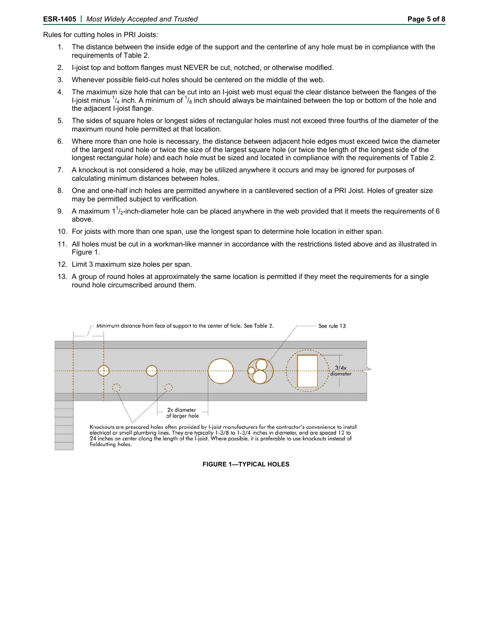- 1. The distance between the inside edge of the support and the centerline of any hole must be in compliance with the requirements of Table 2.
- 2. I-joist top and bottom flanges must NEVER be cut, notched, or otherwise modified.
- 3. Whenever possible field-cut holes should be centered on the middle of the web.
- 4. The maximum size hole that can be cut into an I-joist web must equal the clear distance between the flanges of the I-joist minus  $\frac{1}{4}$  inch. A minimum of  $\frac{1}{8}$  inch should always be maintained between the top or bottom of the hole and the adjacent I-joist flange.
- 5. The sides of square holes or longest sides of rectangular holes must not exceed three fourths of the diameter of the maximum round hole permitted at that location.
- 6. Where more than one hole is necessary, the distance between adjacent hole edges must exceed twice the diameter of the largest round hole or twice the size of the largest square hole (or twice the length of the longest side of the longest rectangular hole) and each hole must be sized and located in compliance with the requirements of Table 2.
- 7. A knockout is not considered a hole, may be utilized anywhere it occurs and may be ignored for purposes of calculating minimum distances between holes.
- 8. One and one-half inch holes are permitted anywhere in a cantilevered section of a PRI Joist. Holes of greater size may be permitted subject to verification.
- 9. A maximum 1<sup>1</sup>/<sub>2</sub>-inch-diameter hole can be placed anywhere in the web provided that it meets the requirements of 6 above.
- 10. For joists with more than one span, use the longest span to determine hole location in either span.
- 11. All holes must be cut in a workman-like manner in accordance with the restrictions listed above and as illustrated in Figure 1.
- 12. Limit 3 maximum size holes per span.
- 13. A group of round holes at approximately the same location is permitted if they meet the requirements for a single round hole circumscribed around them.

|                               |  | 3/4x<br>diameter |
|-------------------------------|--|------------------|
|                               |  |                  |
| 2x diameter<br>of larger hole |  |                  |

# **FIGURE 1—TYPICAL HOLES**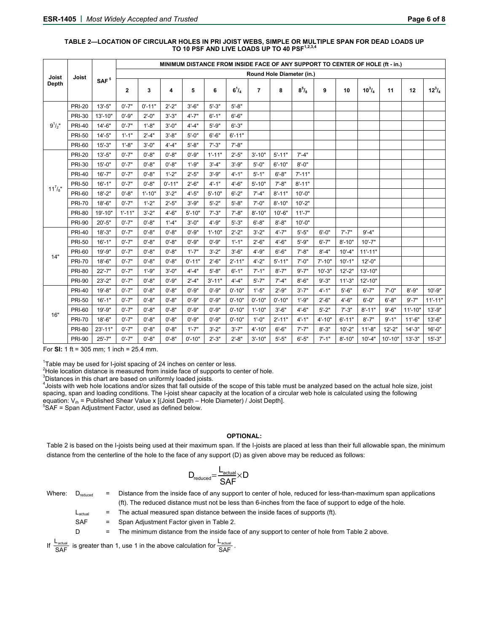|                 |               |                  | MINIMUM DISTANCE FROM INSIDE FACE OF ANY SUPPORT TO CENTER OF HOLE (ft - in.) |            |            |            |            |              |                         |            |              |            |            |               |             |             |                         |
|-----------------|---------------|------------------|-------------------------------------------------------------------------------|------------|------------|------------|------------|--------------|-------------------------|------------|--------------|------------|------------|---------------|-------------|-------------|-------------------------|
| Joist           | Joist         | SAF <sup>5</sup> | Round Hole Diameter (in.)                                                     |            |            |            |            |              |                         |            |              |            |            |               |             |             |                         |
| <b>Depth</b>    |               |                  | $\overline{2}$                                                                | 3          | 4          | 5          | 6          | $6^{1}/_{4}$ | $\overline{\mathbf{r}}$ | 8          | $8^{5}/_{8}$ | 9          | 10         | $10^{3}/_{4}$ | 11          | 12          | $12^{3}$ / <sub>4</sub> |
| $9^{1}/2$ "     | <b>PRI-20</b> | $13' - 5"$       | $0' - 7"$                                                                     | $0' - 11"$ | $2' - 2"$  | $3' - 6"$  | $5' - 3"$  | $5' - 8"$    |                         |            |              |            |            |               |             |             |                         |
|                 | <b>PRI-30</b> | $13' - 10"$      | $0' - 9"$                                                                     | $2' - 0''$ | $3' - 3"$  | $4' - 7"$  | $6' - 1"$  | $6' - 6"$    |                         |            |              |            |            |               |             |             |                         |
|                 | <b>PRI-40</b> | $14'-6''$        | $0' - 7"$                                                                     | $1' - 8"$  | $3' - 0''$ | $4'-4"$    | $5' - 9"$  | $6' - 3"$    |                         |            |              |            |            |               |             |             |                         |
|                 | <b>PRI-50</b> | $14'-5"$         | $1' - 1"$                                                                     | $2'-4"$    | $3' - 8"$  | $5' - 0''$ | $6' - 6"$  | $6' - 11"$   |                         |            |              |            |            |               |             |             |                         |
|                 | <b>PRI-60</b> | $15' - 3"$       | $1' - 8"$                                                                     | $3' - 0''$ | $4'-4"$    | $5 - 8"$   | $7' - 3"$  | $7' - 8"$    |                         |            |              |            |            |               |             |             |                         |
|                 | <b>PRI-20</b> | $13' - 5"$       | $0' - 7"$                                                                     | $0' - 8"$  | $0' - 8"$  | $0' - 9"$  | $1' - 11"$ | $2'-5"$      | $3' - 10"$              | $5' - 11"$ | $7' - 4"$    |            |            |               |             |             |                         |
|                 | <b>PRI-30</b> | $15 - 0"$        | $0' - 7"$                                                                     | $0' - 8"$  | $0' - 8"$  | $1' - 9"$  | $3' - 4"$  | $3' - 9''$   | $5' - 0''$              | $6' - 10"$ | $8' - 0''$   |            |            |               |             |             |                         |
|                 | <b>PRI-40</b> | $16' - 7"$       | $0' - 7"$                                                                     | $0' - 8"$  | $1'-2"$    | $2'-5"$    | $3' - 9"$  | $4 - 1"$     | $5' - 1"$               | $6' - 8"$  | $7' - 11"$   |            |            |               |             |             |                         |
| $11^{7}/_{8}$ " | <b>PRI-50</b> | $16' - 1"$       | $0' - 7"$                                                                     | $0 - 8"$   | $0' - 11"$ | $2' - 6"$  | $4' - 1"$  | $4'-6"$      | $5' - 10"$              | $7' - 8"$  | $8' - 11"$   |            |            |               |             |             |                         |
|                 | <b>PRI-60</b> | $18 - 2"$        | $0' - 8"$                                                                     | $1' - 10"$ | $3' - 2"$  | $4'-5"$    | $5' - 10"$ | $6' - 2"$    | $7' - 4"$               | $8' - 11"$ | $10 - 0"$    |            |            |               |             |             |                         |
|                 | <b>PRI-70</b> | $18 - 6"$        | $0' - 7"$                                                                     | $1'-2"$    | $2' - 5"$  | $3' - 9''$ | $5' - 2"$  | $5' - 8"$    | $7' - 0''$              | $8' - 10"$ | $10 - 2"$    |            |            |               |             |             |                         |
|                 | <b>PRI-80</b> | 19'-10"          | $1' - 11"$                                                                    | $3' - 2"$  | $4'-6"$    | $5' - 10"$ | $7' - 3"$  | $7' - 8"$    | $8' - 10"$              | $10'-6"$   | $11'-7"$     |            |            |               |             |             |                         |
|                 | <b>PRI-90</b> | $20' - 5"$       | $0' - 7"$                                                                     | $0' - 8"$  | $1'-4"$    | $3' - 0''$ | $4' - 9''$ | $5' - 3"$    | $6' - 8"$               | $8' - 8"$  | $10' - 0''$  |            |            |               |             |             |                         |
|                 | <b>PRI-40</b> | $18 - 3"$        | $0' - 7"$                                                                     | $0' - 8"$  | $0' - 8"$  | $0' - 9"$  | $1' - 10"$ | $2 - 2"$     | $3' - 2"$               | $4' - 7"$  | $5 - 5"$     | $6' - 0''$ | $7' - 7"$  | $9' - 4"$     |             |             |                         |
|                 | <b>PRI-50</b> | $16' - 1"$       | $0' - 7"$                                                                     | $0' - 8"$  | $0' - 8"$  | $0' - 9"$  | $0' - 9"$  | $1'-1$ "     | $2' - 6"$               | $4'-6"$    | $5' - 9"$    | $6' - 7"$  | $8' - 10"$ | $10' - 7"$    |             |             |                         |
| 14"             | <b>PRI-60</b> | 19'-9"           | $0' - 7"$                                                                     | $0' - 8"$  | $0' - 8"$  | $1'-7"$    | $3' - 2"$  | $3'-6''$     | $4' - 9''$              | $6 - 6"$   | $7' - 8"$    | $8' - 4"$  | $10' - 4"$ | $11'-11"$     |             |             |                         |
|                 | <b>PRI-70</b> | $18 - 6"$        | $0' - 7"$                                                                     | $0' - 8"$  | $0' - 8"$  | $0' - 11"$ | $2' - 6"$  | $2' - 11"$   | $4 - 2"$                | $5' - 11"$ | $7' - 0''$   | $7' - 10"$ | $10' - 1"$ | $12 - 0$ "    |             |             |                         |
|                 | <b>PRI-80</b> | $22' - 7"$       | $0' - 7"$                                                                     | $1' - 9"$  | $3' - 0''$ | $4'-4"$    | $5' - 8"$  | $6' - 1"$    | $7' - 1"$               | $8' - 7"$  | $9' - 7"$    | $10' - 3"$ | $12 - 2"$  | $13' - 10"$   |             |             |                         |
|                 | <b>PRI-90</b> | $23'-2"$         | $0' - 7"$                                                                     | $0' - 8"$  | $0' - 9"$  | $2'-4"$    | $3' - 11"$ | $4'-4"$      | $5' - 7"$               | $7' - 4"$  | $8 - 6"$     | $9' - 3"$  | $11'-3''$  | $12' - 10"$   |             |             |                         |
|                 | <b>PRI-40</b> | $19' - 8"$       | $0' - 7"$                                                                     | $0' - 8"$  | $0' - 8"$  | $0' - 9"$  | $0' - 9"$  | $0' - 10"$   | $1'-5"$                 | $2' - 9"$  | $3' - 7"$    | $4' - 1"$  | $5'-6"$    | $6' - 7"$     | $7' - 0''$  | $8 - 9"$    | $10' - 9"$              |
| 16"             | <b>PRI-50</b> | $16' - 1"$       | $0' - 7"$                                                                     | $0' - 8"$  | $0' - 8"$  | $0' - 9"$  | $0' - 9"$  | $0' - 10"$   | $0' - 10"$              | $0' - 10"$ | $1' - 9"$    | $2' - 6"$  | $4'-6"$    | $6' - 0''$    | $6' - 8"$   | $9' - 7"$   | $11'-11"$               |
|                 | <b>PRI-60</b> | $19' - 9"$       | $0' - 7"$                                                                     | $0' - 8"$  | $0' - 8"$  | $0' - 9"$  | $0' - 9"$  | $0' - 10"$   | $1' - 10"$              | $3'-6''$   | $4'-6"$      | $5' - 2"$  | $7' - 3"$  | $8' - 11"$    | $9' - 6"$   | $11' - 10"$ | $13' - 9''$             |
|                 | <b>PRI-70</b> | $18 - 6"$        | $0' - 7"$                                                                     | $0' - 8"$  | $0' - 8"$  | $0' - 9"$  | $0' - 9"$  | $0' - 10"$   | $1' - 0''$              | $2' - 11"$ | $4' - 1"$    | $4' - 10"$ | $6' - 11"$ | $8' - 7"$     | $9' - 1"$   | $11'-6$ "   | $13'-6''$               |
|                 | <b>PRI-80</b> | $23' - 11"$      | $0' - 7"$                                                                     | $0 - 8"$   | $0 - 8"$   | $1' - 7"$  | $3' - 2"$  | $3' - 7"$    | $4' - 10"$              | $6 - 6"$   | $7' - 7"$    | $8 - 3"$   | $10' - 2"$ | $11'-8"$      | $12 - 2"$   | $14'-3''$   | $16' - 0''$             |
|                 | <b>PRI-90</b> | $25' - 7"$       | $0' - 7"$                                                                     | $0' - 8"$  | $0' - 8"$  | $0' - 10"$ | $2' - 3"$  | $2' - 8"$    | $3' - 10"$              | $5' - 5"$  | $6' - 5"$    | $7' - 1"$  | $8' - 10"$ | $10'-4"$      | $10' - 10"$ | $13' - 3"$  | $15' - 3"$              |

#### **TABLE 2—LOCATION OF CIRCULAR HOLES IN PRI JOIST WEBS, SIMPLE OR MULTIPLE SPAN FOR DEAD LOADS UP**  TO 10 PSF AND LIVE LOADS UP TO 40 PSF<sup>1,2,</sup>

For **SI:** 1 ft = 305 mm; 1 inch = 25.4 mm.

<sup>1</sup>Table may be used for I-joist spacing of 24 inches on center or less.<br><sup>2</sup>Hele legation distance is measured from inside face of supports to go

<sup>2</sup>Hole location distance is measured from inside face of supports to center of hole.

 $3$ Distances in this chart are based on uniformly loaded joists.

<sup>4</sup>Joists with web hole locations and/or sizes that fall outside of the scope of this table must be analyzed based on the actual hole size, joist spacing, span and loading conditions. The I-joist shear capacity at the location of a circular web hole is calculated using the following equation: V<sub>rh</sub> = Published Shear Value x [(Joist Depth – Hole Diameter) / Joist Depth].<br><sup>5</sup>SAF = Span Adjustment Factor, used as defined below.

#### **OPTIONAL:**

Table 2 is based on the I-joists being used at their maximum span. If the I-joists are placed at less than their full allowable span, the minimum distance from the centerline of the hole to the face of any support (D) as given above may be reduced as follows:

$$
D_{\text{reduced}}{=}\frac{L_{\text{actual}}}{SAF}{\times}D
$$

Where: D<sub>reduced</sub> = Distance from the inside face of any support to center of hole, reduced for less-than-maximum span applications (ft). The reduced distance must not be less than 6-inches from the face of support to edge of the hole.  $L_{actual}$  = The actual measured span distance between the inside faces of supports (ft).

SAF = Span Adjustment Factor given in Table 2.

D = The minimum distance from the inside face of any support to center of hole from Table 2 above.

If  $\frac{L_{\text{actual}}}{\text{SAF}}$  is greater than 1, use 1 in the above calculation for  $\frac{L_{\text{actual}}}{\text{SAF}}$ .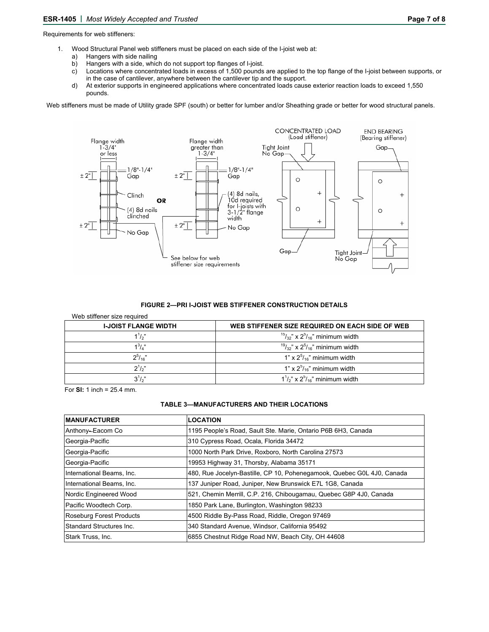Requirements for web stiffeners:

- 1. Wood Structural Panel web stiffeners must be placed on each side of the I-joist web at:
	- a) Hangers with side nailing<br>b) Hangers with a side, whic
	- Hangers with a side, which do not support top flanges of I-joist.
	- c) Locations where concentrated loads in excess of 1,500 pounds are applied to the top flange of the I-joist between supports, or in the case of cantilever, anywhere between the cantilever tip and the support.
	- d) At exterior supports in engineered applications where concentrated loads cause exterior reaction loads to exceed 1,550 pounds.

Web stiffeners must be made of Utility grade SPF (south) or better for lumber and/or Sheathing grade or better for wood structural panels.



#### **FIGURE 2—PRI I-JOIST WEB STIFFENER CONSTRUCTION DETAILS**

| Web stiffener size required<br><b>I-JOIST FLANGE WIDTH</b> | WEB STIFFENER SIZE REQUIRED ON EACH SIDE OF WEB |
|------------------------------------------------------------|-------------------------------------------------|
| $1^{1}/2$ "                                                | $15/32$ " x $25/16$ " minimum width             |
| $1^3$ / $\mu$ "                                            | $19/32$ " x $2^{5}/16$ " minimum width          |
| $2^{5}/16$                                                 | $1" \times 2^{5}/_{16}"$ minimum width          |
| $2^{1/2}$                                                  | 1" x $2^{5}/_{16}$ " minimum width              |
| $3^{1}/2$                                                  | $1^{1}/2$ " x $2^{5}/16$ " minimum width        |

For **SI:** 1 inch = 25.4 mm.

### **TABLE 3—MANUFACTURERS AND THEIR LOCATIONS**

| <b>MANUFACTURER</b>       | <b>LOCATION</b>                                                        |
|---------------------------|------------------------------------------------------------------------|
| Anthony-Eacom Co          | 1195 People's Road, Sault Ste. Marie, Ontario P6B 6H3, Canada          |
| Georgia-Pacific           | 310 Cypress Road, Ocala, Florida 34472                                 |
| Georgia-Pacific           | 1000 North Park Drive, Roxboro, North Carolina 27573                   |
| Georgia-Pacific           | 19953 Highway 31, Thorsby, Alabama 35171                               |
| International Beams, Inc. | 480, Rue Jocelyn-Bastille, CP 10, Pohenegamook, Quebec G0L 4J0, Canada |
| International Beams, Inc. | 137 Juniper Road, Juniper, New Brunswick E7L 1G8, Canada               |
| Nordic Engineered Wood    | 521, Chemin Merrill, C.P. 216, Chibougamau, Quebec G8P 4J0, Canada     |
| Pacific Woodtech Corp.    | 1850 Park Lane, Burlington, Washington 98233                           |
| Roseburg Forest Products  | 4500 Riddle By-Pass Road, Riddle, Oregon 97469                         |
| Standard Structures Inc.  | 340 Standard Avenue, Windsor, California 95492                         |
| Stark Truss, Inc.         | 6855 Chestnut Ridge Road NW, Beach City, OH 44608                      |